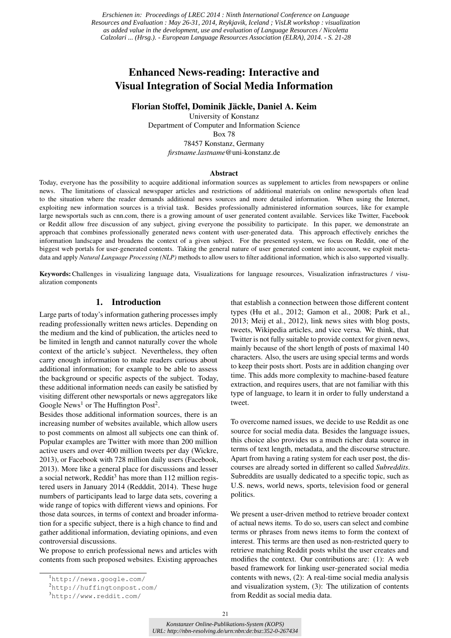*Erschienen in: Proceedings of LREC 2014 : Ninth International Conference on Language Resources and Evaluation : May 26-31, 2014, Reykjavik, Iceland ; VisLR workshop : visualization as added value in the development, use and evaluation of Language Resources / Nicoletta Calzolari ... (Hrsg.). - European Language Resources Association (ELRA), 2014. - S. 21-28*

# Enhanced News-reading: Interactive and Visual Integration of Social Media Information

Florian Stoffel, Dominik Jäckle, Daniel A. Keim

University of Konstanz Department of Computer and Information Science Box 78 78457 Konstanz, Germany *firstname*.*lastname*@uni-konstanz.de

#### Abstract

Today, everyone has the possibility to acquire additional information sources as supplement to articles from newspapers or online news. The limitations of classical newspaper articles and restrictions of additional materials on online newsportals often lead to the situation where the reader demands additional news sources and more detailed information. When using the Internet, exploiting new information sources is a trivial task. Besides professionally administered information sources, like for example large newsportals such as cnn.com, there is a growing amount of user generated content available. Services like Twitter, Facebook or Reddit allow free discussion of any subject, giving everyone the possibility to participate. In this paper, we demonstrate an approach that combines professionally generated news content with user-generated data. This approach effectively enriches the information landscape and broadens the context of a given subject. For the presented system, we focus on Reddit, one of the biggest web portals for user-generated contents. Taking the general nature of user generated content into account, we exploit metadata and apply *Natural Language Processing (NLP)* methods to allow users to filter additional information, which is also supported visually.

Keywords:Challenges in visualizing language data, Visualizations for language resources, Visualization infrastructures / visualization components

#### 1. Introduction

Large parts of today's information gathering processes imply reading professionally written news articles. Depending on the medium and the kind of publication, the articles need to be limited in length and cannot naturally cover the whole context of the article's subject. Nevertheless, they often carry enough information to make readers curious about additional information; for example to be able to assess the background or specific aspects of the subject. Today, these additional information needs can easily be satisfied by visiting different other newsportals or news aggregators like Google News<sup>1</sup> or The Huffington Post<sup>2</sup>.

Besides those additional information sources, there is an increasing number of websites available, which allow users to post comments on almost all subjects one can think of. Popular examples are Twitter with more than 200 million active users and over 400 million tweets per day (Wickre, 2013), or Facebook with 728 million daily users (Facebook, 2013). More like a general place for discussions and lesser a social network, Reddit<sup>3</sup> has more than  $112$  million registered users in January 2014 (Redddit, 2014). These huge numbers of participants lead to large data sets, covering a wide range of topics with different views and opinions. For those data sources, in terms of context and broader information for a specific subject, there is a high chance to find and gather additional information, deviating opinions, and even controversial discussions.

We propose to enrich professional news and articles with contents from such proposed websites. Existing approaches

that establish a connection between those different content types (Hu et al., 2012; Gamon et al., 2008; Park et al., 2013; Meij et al., 2012), link news sites with blog posts, tweets, Wikipedia articles, and vice versa. We think, that Twitter is not fully suitable to provide context for given news, mainly because of the short length of posts of maximal 140 characters. Also, the users are using special terms and words to keep their posts short. Posts are in addition changing over time. This adds more complexity to machine-based feature extraction, and requires users, that are not familiar with this type of language, to learn it in order to fully understand a tweet.

To overcome named issues, we decide to use Reddit as one source for social media data. Besides the language issues, this choice also provides us a much richer data source in terms of text length, metadata, and the discourse structure. Apart from having a rating system for each user post, the discourses are already sorted in different so called *Subreddits*. Subreddits are usually dedicated to a specific topic, such as U.S. news, world news, sports, television food or general politics.

We present a user-driven method to retrieve broader context of actual news items. To do so, users can select and combine terms or phrases from news items to form the context of interest. This terms are then used as non-restricted query to retrieve matching Reddit posts whilst the user creates and modifies the context. Our contributions are: (1): A web based framework for linking user-generated social media contents with news, (2): A real-time social media analysis and visualization system, (3): The utilization of contents from Reddit as social media data.

<sup>1</sup><http://news.google.com/>

<sup>2</sup><http://huffingtonpost.com/>

<sup>3</sup><http://www.reddit.com/>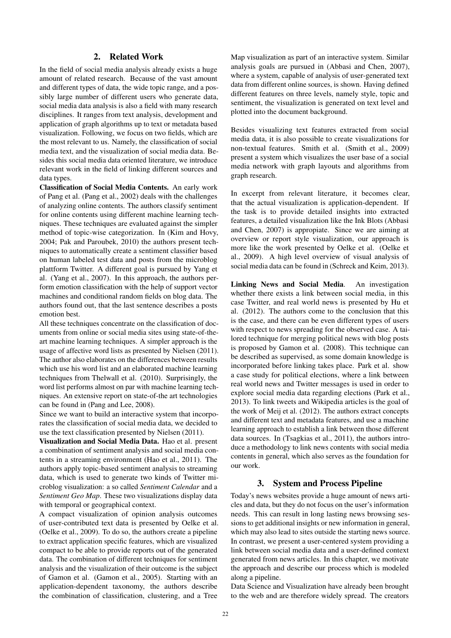#### 2. Related Work

In the field of social media analysis already exists a huge amount of related research. Because of the vast amount and different types of data, the wide topic range, and a possibly large number of different users who generate data, social media data analysis is also a field with many research disciplines. It ranges from text analysis, development and application of graph algorithms up to text or metadata based visualization. Following, we focus on two fields, which are the most relevant to us. Namely, the classification of social media text, and the visualization of social media data. Besides this social media data oriented literature, we introduce relevant work in the field of linking different sources and data types.

Classification of Social Media Contents. An early work of Pang et al. (Pang et al., 2002) deals with the challenges of analyzing online contents. The authors classify sentiment for online contents using different machine learning techniques. These techniques are evaluated against the simpler method of topic-wise categorization. In (Kim and Hovy, 2004; Pak and Paroubek, 2010) the authors present techniques to automatically create a sentiment classifier based on human labeled test data and posts from the microblog plattform Twitter. A different goal is pursued by Yang et al. (Yang et al., 2007). In this approach, the authors perform emotion classification with the help of support vector machines and conditional random fields on blog data. The authors found out, that the last sentence describes a posts emotion best.

All these techniques concentrate on the classification of documents from online or social media sites using state-of-theart machine learning techniques. A simpler approach is the usage of affective word lists as presented by Nielsen (2011). The author also elaborates on the differences between results which use his word list and an elaborated machine learning techniques from Thelwall et al. (2010). Surprisingly, the word list performs almost on par with machine learning techniques. An extensive report on state-of-the art technologies can be found in (Pang and Lee, 2008).

Since we want to build an interactive system that incorporates the classification of social media data, we decided to use the text classification presented by Nielsen (2011).

Visualization and Social Media Data. Hao et al. present a combination of sentiment analysis and social media contents in a streaming environment (Hao et al., 2011). The authors apply topic-based sentiment analysis to streaming data, which is used to generate two kinds of Twitter microblog visualization: a so called *Sentiment Calendar* and a *Sentiment Geo Map*. These two visualizations display data with temporal or geographical context.

A compact visualization of opinion analysis outcomes of user-contributed text data is presented by Oelke et al. (Oelke et al., 2009). To do so, the authors create a pipeline to extract application specific features, which are visualized compact to be able to provide reports out of the generated data. The combination of different techniques for sentiment analysis and the visualization of their outcome is the subject of Gamon et al. (Gamon et al., 2005). Starting with an application-dependent taxonomy, the authors describe the combination of classification, clustering, and a Tree

Map visualization as part of an interactive system. Similar analysis goals are pursued in (Abbasi and Chen, 2007), where a system, capable of analysis of user-generated text data from different online sources, is shown. Having defined different features on three levels, namely style, topic and sentiment, the visualization is generated on text level and plotted into the document background.

Besides visualizing text features extracted from social media data, it is also possible to create visualizations for non-textual features. Smith et al. (Smith et al., 2009) present a system which visualizes the user base of a social media network with graph layouts and algorithms from graph research.

In excerpt from relevant literature, it becomes clear, that the actual visualization is application-dependent. If the task is to provide detailed insights into extracted features, a detailed visualization like the Ink Blots (Abbasi and Chen, 2007) is appropiate. Since we are aiming at overview or report style visualization, our approach is more like the work presented by Oelke et al. (Oelke et al., 2009). A high level overview of visual analysis of social media data can be found in (Schreck and Keim, 2013).

Linking News and Social Media. An investigation whether there exists a link between social media, in this case Twitter, and real world news is presented by Hu et al. (2012). The authors come to the conclusion that this is the case, and there can be even different types of users with respect to news spreading for the observed case. A tailored technique for merging political news with blog posts is proposed by Gamon et al. (2008). This technique can be described as supervised, as some domain knowledge is incorporated before linking takes place. Park et al. show a case study for political elections, where a link between real world news and Twitter messages is used in order to explore social media data regarding elections (Park et al., 2013). To link tweets and Wikipedia articles is the goal of the work of Meij et al. (2012). The authors extract concepts and different text and metadata features, and use a machine learning approach to establish a link between those different data sources. In (Tsagkias et al., 2011), the authors introduce a methodology to link news contents with social media contents in general, which also serves as the foundation for our work.

#### 3. System and Process Pipeline

Today's news websites provide a huge amount of news articles and data, but they do not focus on the user's information needs. This can result in long lasting news browsing sessions to get additional insights or new information in general, which may also lead to sites outside the starting news source. In contrast, we present a user-centered system providing a link between social media data and a user-defined context generated from news articles. In this chapter, we motivate the approach and describe our process which is modeled along a pipeline.

Data Science and Visualization have already been brought to the web and are therefore widely spread. The creators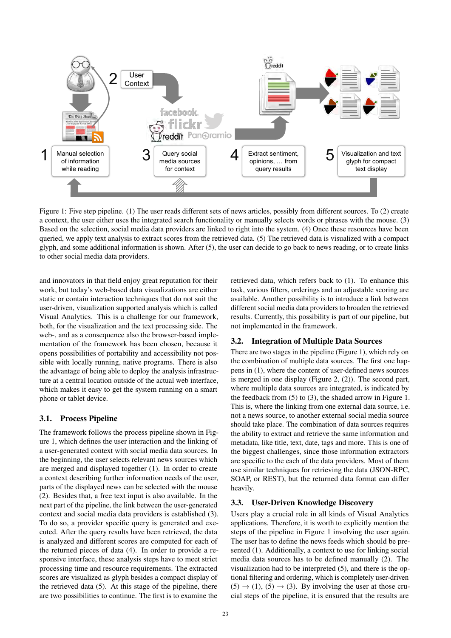

Figure 1: Five step pipeline. (1) The user reads different sets of news articles, possibly from different sources. To (2) create a context, the user either uses the integrated search functionality or manually selects words or phrases with the mouse. (3) Based on the selection, social media data providers are linked to right into the system. (4) Once these resources have been queried, we apply text analysis to extract scores from the retrieved data. (5) The retrieved data is visualized with a compact glyph, and some additional information is shown. After (5), the user can decide to go back to news reading, or to create links to other social media data providers.

and innovators in that field enjoy great reputation for their work, but today's web-based data visualizations are either static or contain interaction techniques that do not suit the user-driven, visualization supported analysis which is called Visual Analytics. This is a challenge for our framework, both, for the visualization and the text processing side. The web-, and as a consequence also the browser-based implementation of the framework has been chosen, because it opens possibilities of portability and accessibility not possible with locally running, native programs. There is also the advantage of being able to deploy the analysis infrastructure at a central location outside of the actual web interface, which makes it easy to get the system running on a smart phone or tablet device.

#### 3.1. Process Pipeline

The framework follows the process pipeline shown in Figure 1, which defines the user interaction and the linking of a user-generated context with social media data sources. In the beginning, the user selects relevant news sources which are merged and displayed together (1). In order to create a context describing further information needs of the user, parts of the displayed news can be selected with the mouse (2). Besides that, a free text input is also available. In the next part of the pipeline, the link between the user-generated context and social media data providers is established (3). To do so, a provider specific query is generated and executed. After the query results have been retrieved, the data is analyzed and different scores are computed for each of the returned pieces of data (4). In order to provide a responsive interface, these analysis steps have to meet strict processing time and resource requirements. The extracted scores are visualized as glyph besides a compact display of the retrieved data (5). At this stage of the pipeline, there are two possibilities to continue. The first is to examine the

retrieved data, which refers back to (1). To enhance this task, various filters, orderings and an adjustable scoring are available. Another possibility is to introduce a link between different social media data providers to broaden the retrieved results. Currently, this possibility is part of our pipeline, but not implemented in the framework.

#### 3.2. Integration of Multiple Data Sources

There are two stages in the pipeline (Figure 1), which rely on the combination of multiple data sources. The first one happens in (1), where the content of user-defined news sources is merged in one display (Figure 2, (2)). The second part, where multiple data sources are integrated, is indicated by the feedback from (5) to (3), the shaded arrow in Figure 1. This is, where the linking from one external data source, i.e. not a news source, to another external social media source should take place. The combination of data sources requires the ability to extract and retrieve the same information and metadata, like title, text, date, tags and more. This is one of the biggest challenges, since those information extractors are specific to the each of the data providers. Most of them use similar techniques for retrieving the data (JSON-RPC, SOAP, or REST), but the returned data format can differ heavily.

#### 3.3. User-Driven Knowledge Discovery

Users play a crucial role in all kinds of Visual Analytics applications. Therefore, it is worth to explicitly mention the steps of the pipeline in Figure 1 involving the user again. The user has to define the news feeds which should be presented (1). Additionally, a context to use for linking social media data sources has to be defined manually (2). The visualization had to be interpreted (5), and there is the optional filtering and ordering, which is completely user-driven  $(5) \rightarrow (1)$ ,  $(5) \rightarrow (3)$ . By involving the user at those crucial steps of the pipeline, it is ensured that the results are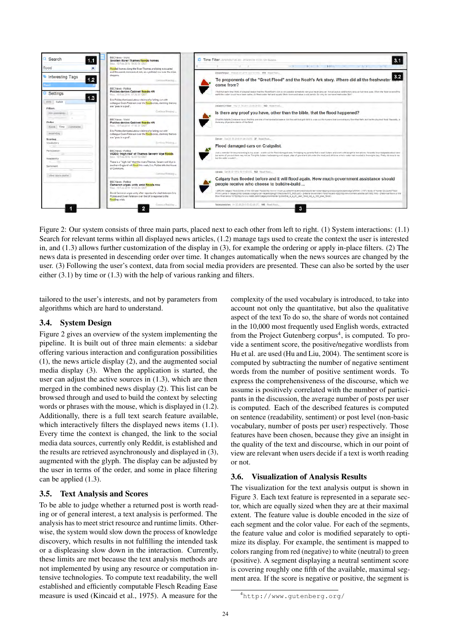

Figure 2: Our system consists of three main parts, placed next to each other from left to right. (1) System interactions: (1.1) Search for relevant terms within all displayed news articles, (1.2) manage tags used to create the context the user is interested in, and (1.3) allows further customization of the display in (3), for example the ordering or apply in-place filters. (2) The news data is presented in descending order over time. It changes automatically when the news sources are changed by the user. (3) Following the user's context, data from social media providers are presented. These can also be sorted by the user either  $(3.1)$  by time or  $(1.3)$  with the help of various ranking and filters.

tailored to the user's interests, and not by parameters from algorithms which are hard to understand.

#### 3.4. System Design

Figure 2 gives an overview of the system implementing the pipeline. It is built out of three main elements: a sidebar offering various interaction and configuration possibilities (1), the news article display (2), and the augmented social media display (3). When the application is started, the user can adjust the active sources in (1.3), which are then merged in the combined news display (2). This list can be browsed through and used to build the context by selecting words or phrases with the mouse, which is displayed in (1.2). Additionally, there is a full text search feature available, which interactively filters the displayed news items (1.1). Every time the context is changed, the link to the social media data sources, currently only Reddit, is established and the results are retrieved asynchronously and displayed in (3), augmented with the glyph. The display can be adjusted by the user in terms of the order, and some in place filtering can be applied (1.3).

#### 3.5. Text Analysis and Scores

To be able to judge whether a returned post is worth reading or of general interest, a text analysis is performed. The analysis has to meet strict resource and runtime limits. Otherwise, the system would slow down the process of knowledge discovery, which results in not fulfilling the intended task or a displeasing slow down in the interaction. Currently, these limits are met because the text analysis methods are not implemented by using any resource or computation intensive technologies. To compute text readability, the well established and efficiently computable Flesch Reading Ease measure is used (Kincaid et al., 1975). A measure for the

complexity of the used vocabulary is introduced, to take into account not only the quantitative, but also the qualitative aspect of the text To do so, the share of words not contained in the 10,000 most frequently used English words, extracted from the Project Gutenberg corpus<sup>4</sup>, is computed. To provide a sentiment score, the positive/negative wordlists from Hu et al. are used (Hu and Liu, 2004). The sentiment score is computed by subtracting the number of negative sentiment words from the number of positive sentiment words. To express the comprehensiveness of the discourse, which we assume is positively correlated with the number of participants in the discussion, the average number of posts per user is computed. Each of the described features is computed on sentence (readability, sentiment) or post level (non-basic vocabulary, number of posts per user) respectively. Those features have been chosen, because they give an insight in the quality of the text and discourse, which in our point of view are relevant when users decide if a text is worth reading or not.

#### 3.6. Visualization of Analysis Results

The visualization for the text analysis output is shown in Figure 3. Each text feature is represented in a separate sector, which are equally sized when they are at their maximal extent. The feature value is double encoded in the size of each segment and the color value. For each of the segments, the feature value and color is modified separately to optimize its display. For example, the sentiment is mapped to colors ranging from red (negative) to white (neutral) to green (positive). A segment displaying a neutral sentiment score is covering roughly one fifth of the available, maximal segment area. If the score is negative or positive, the segment is

<sup>4</sup><http://www.gutenberg.org/>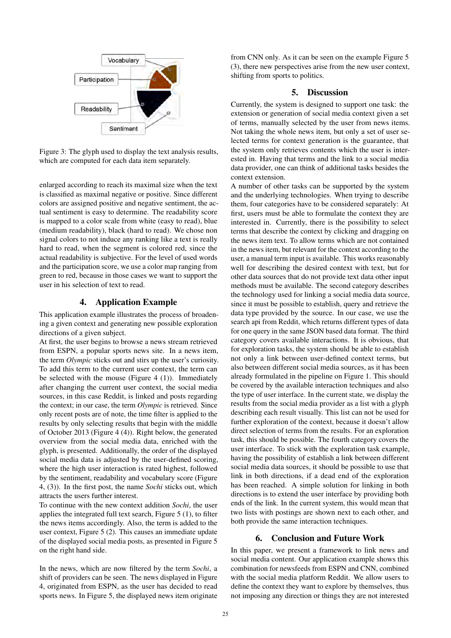

Figure 3: The glyph used to display the text analysis results, which are computed for each data item separately.

enlarged according to reach its maximal size when the text is classified as maximal negative or positive. Since different colors are assigned positive and negative sentiment, the actual sentiment is easy to determine. The readability score is mapped to a color scale from white (easy to read), blue (medium readability), black (hard to read). We chose non signal colors to not induce any ranking like a text is really hard to read, when the segment is colored red, since the actual readability is subjective. For the level of used words and the participation score, we use a color map ranging from green to red, because in those cases we want to support the user in his selection of text to read.

# 4. Application Example

This application example illustrates the process of broadening a given context and generating new possible exploration directions of a given subject.

At first, the user begins to browse a news stream retrieved from ESPN, a popular sports news site. In a news item, the term *Olympic* sticks out and stirs up the user's curiosity. To add this term to the current user context, the term can be selected with the mouse (Figure 4 (1)). Immediately after changing the current user context, the social media sources, in this case Reddit, is linked and posts regarding the context; in our case, the term *Olympic* is retrieved. Since only recent posts are of note, the time filter is applied to the results by only selecting results that begin with the middle of October 2013 (Figure 4 (4)). Right below, the generated overview from the social media data, enriched with the glyph, is presented. Additionally, the order of the displayed social media data is adjusted by the user-defined scoring, where the high user interaction is rated highest, followed by the sentiment, readability and vocabulary score (Figure 4, (3)). In the first post, the name *Sochi* sticks out, which attracts the users further interest.

To continue with the new context addition *Sochi*, the user applies the integrated full text search, Figure 5 (1), to filter the news items accordingly. Also, the term is added to the user context, Figure 5 (2). This causes an immediate update of the displayed social media posts, as presented in Figure 5 on the right hand side.

In the news, which are now filtered by the term *Sochi*, a shift of providers can be seen. The news displayed in Figure 4, originated from ESPN, as the user has decided to read sports news. In Figure 5, the displayed news item originate from CNN only. As it can be seen on the example Figure 5 (3), there new perspectives arise from the new user context, shifting from sports to politics.

# 5. Discussion

Currently, the system is designed to support one task: the extension or generation of social media context given a set of terms, manually selected by the user from news items. Not taking the whole news item, but only a set of user selected terms for context generation is the guarantee, that the system only retrieves contents which the user is interested in. Having that terms and the link to a social media data provider, one can think of additional tasks besides the context extension.

A number of other tasks can be supported by the system and the underlying technologies. When trying to describe them, four categories have to be considered separately: At first, users must be able to formulate the context they are interested in. Currently, there is the possibility to select terms that describe the context by clicking and dragging on the news item text. To allow terms which are not contained in the news item, but relevant for the context according to the user, a manual term input is available. This works reasonably well for describing the desired context with text, but for other data sources that do not provide text data other input methods must be available. The second category describes the technology used for linking a social media data source, since it must be possible to establish, query and retrieve the data type provided by the source. In our case, we use the search api from Reddit, which returns different types of data for one query in the same JSON based data format. The third category covers available interactions. It is obvious, that for exploration tasks, the system should be able to establish not only a link between user-defined context terms, but also between different social media sources, as it has been already formulated in the pipeline on Figure 1. This should be covered by the available interaction techniques and also the type of user interface. In the current state, we display the results from the social media provider as a list with a glyph describing each result visually. This list can not be used for further exploration of the context, because it doesn't allow direct selection of terms from the results. For an exploration task, this should be possible. The fourth category covers the user interface. To stick with the exploration task example, having the possibility of establish a link between different social media data sources, it should be possible to use that link in both directions, if a dead end of the exploration has been reached. A simple solution for linking in both directions is to extend the user interface by providing both ends of the link. In the current system, this would mean that two lists with postings are shown next to each other, and both provide the same interaction techniques.

# 6. Conclusion and Future Work

In this paper, we present a framework to link news and social media content. Our application example shows this combination for newsfeeds from ESPN and CNN, combined with the social media platform Reddit. We allow users to define the context they want to explore by themselves, thus not imposing any direction or things they are not interested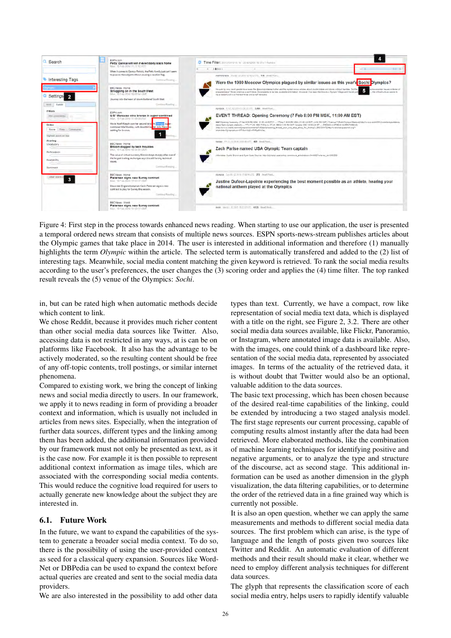

Figure 4: First step in the process towards enhanced news reading. When starting to use our application, the user is presented a temporal ordered news stream that consists of multiple news sources. ESPN sports-news-stream publishes articles about the Olympic games that take place in 2014. The user is interested in additional information and therefore (1) manually highlights the term *Olympic* within the article. The selected term is automatically transfered and added to the (2) list of interesting tags. Meanwhile, social media content matching the given keyword is retrieved. To rank the social media results according to the user's preferences, the user changes the (3) scoring order and applies the (4) time filter. The top ranked result reveals the (5) venue of the Olympics: *Sochi*.

in, but can be rated high when automatic methods decide which content to link.

We chose Reddit, because it provides much richer content than other social media data sources like Twitter. Also, accessing data is not restricted in any ways, at is can be on platforms like Facebook. It also has the advantage to be actively moderated, so the resulting content should be free of any off-topic contents, troll postings, or similar internet phenomena.

Compared to existing work, we bring the concept of linking news and social media directly to users. In our framework, we apply it to news reading in form of providing a broader context and information, which is usually not included in articles from news sites. Especially, when the integration of further data sources, different types and the linking among them has been added, the additional information provided by our framework must not only be presented as text, as it is the case now. For example it is then possible to represent additional context information as image tiles, which are associated with the corresponding social media contents. This would reduce the cognitive load required for users to actually generate new knowledge about the subject they are interested in.

#### 6.1. Future Work

In the future, we want to expand the capabilities of the system to generate a broader social media context. To do so, there is the possibility of using the user-provided context as seed for a classical query expansion. Sources like Word-Net or DBPedia can be used to expand the context before actual queries are created and sent to the social media data providers.

We are also interested in the possibility to add other data

types than text. Currently, we have a compact, row like representation of social media text data, which is displayed with a title on the right, see Figure 2, 3.2. There are other social media data sources available, like Flickr, Panoramio, or Instagram, where annotated image data is available. Also, with the images, one could think of a dashboard like representation of the social media data, represented by associated images. In terms of the actuality of the retrieved data, it is without doubt that Twitter would also be an optional, valuable addition to the data sources.

The basic text processing, which has been chosen because of the desired real-time capabilities of the linking, could be extended by introducing a two staged analysis model. The first stage represents our current processing, capable of computing results almost instantly after the data had been retrieved. More elaborated methods, like the combination of machine learning techniques for identifying positive and negative arguments, or to analyze the type and structure of the discourse, act as second stage. This additional information can be used as another dimension in the glyph visualization, the data filtering capabilities, or to determine the order of the retrieved data in a fine grained way which is currently not possible.

It is also an open question, whether we can apply the same measurements and methods to different social media data sources. The first problem which can arise, is the type of language and the length of posts given two sources like Twitter and Reddit. An automatic evaluation of different methods and their result should make it clear, whether we need to employ different analysis techniques for different data sources.

The glyph that represents the classification score of each social media entry, helps users to rapidly identify valuable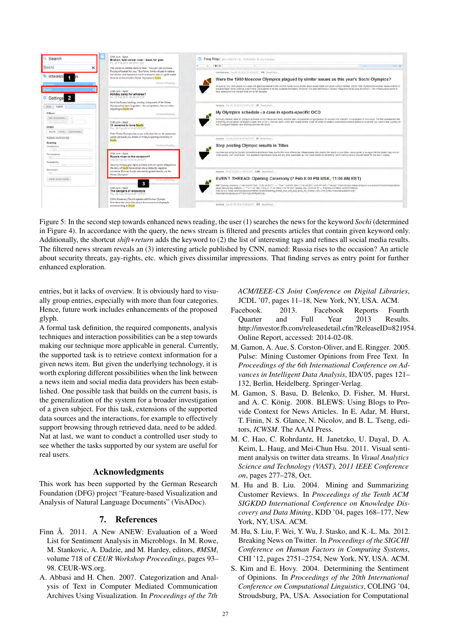

Figure 5: In the second step towards enhanced news reading, the user (1) searches the news for the keyword *Sochi* (determined in Figure 4). In accordance with the query, the news stream is filtered and presents articles that contain given keyword only. Additionally, the shortcut *shift+return* adds the keyword to (2) the list of interesting tags and refines all social media results. The filtered news stream reveals an (3) interesting article published by CNN, named: Russia rises to the occasion? An article about security threats, gay-rights, etc. which gives dissimilar impressions. That finding serves as entry point for further enhanced exploration.

entries, but it lacks of overview. It is obviously hard to visually group entries, especially with more than four categories. Hence, future work includes enhancements of the proposed glyph.

A formal task definition, the required components, analysis techniques and interaction possibilities can be a step towards making our technique more applicable in general. Currently, the supported task is to retrieve context information for a given news item. But given the underlying technology, it is worth exploring different possibilities when the link between a news item and social media data providers has been established. One possible task that builds on the current basis, is the generalization of the system for a broader investigation of a given subject. For this task, extensions of the supported data sources and the interactions, for example to effectively support browsing through retrieved data, need to be added. Nat at last, we want to conduct a controlled user study to see whether the tasks supported by our system are useful for real users.

# Acknowledgments

This work has been supported by the German Research Foundation (DFG) project "Feature-based Visualization and Analysis of Natural Language Documents" (VisADoc).

#### 7. References

- Finn Å. 2011. A New ANEW: Evaluation of a Word List for Sentiment Analysis in Microblogs. In M. Rowe, M. Stankovic, A. Dadzie, and M. Hardey, editors, *#MSM*, volume 718 of *CEUR Workshop Proceedings*, pages 93– 98. CEUR-WS.org.
- A. Abbasi and H. Chen. 2007. Categorization and Analysis of Text in Computer Mediated Communication Archives Using Visualization. In *Proceedings of the 7th*

*ACM/IEEE-CS Joint Conference on Digital Libraries*, JCDL '07, pages 11–18, New York, NY, USA. ACM.

- Facebook. 2013. Facebook Reports Fourth Quarter and Full Year 2013 Results. http://investor.fb.com/releasedetail.cfm?ReleaseID=821954. Online Report, accessed: 2014-02-08.
- M. Gamon, A. Aue, S. Corston-Oliver, and E. Ringger. 2005. Pulse: Mining Customer Opinions from Free Text. In *Proceedings of the 6th International Conference on Advances in Intelligent Data Analysis*, IDA'05, pages 121– 132, Berlin, Heidelberg. Springer-Verlag.
- M. Gamon, S. Basu, D. Belenko, D. Fisher, M. Hurst, and A. C. König. 2008. BLEWS: Using Blogs to Provide Context for News Articles. In E. Adar, M. Hurst, T. Finin, N. S. Glance, N. Nicolov, and B. L. Tseng, editors, *ICWSM*. The AAAI Press.
- M. C. Hao, C. Rohrdantz, H. Janetzko, U. Dayal, D. A. Keim, L. Haug, and Mei-Chun Hsu. 2011. Visual sentiment analysis on twitter data streams. In *Visual Analytics Science and Technology (VAST), 2011 IEEE Conference on*, pages 277–278, Oct.
- M. Hu and B. Liu. 2004. Mining and Summarizing Customer Reviews. In *Proceedings of the Tenth ACM SIGKDD International Conference on Knowledge Discovery and Data Mining*, KDD '04, pages 168–177, New York, NY, USA. ACM.
- M. Hu, S. Liu, F. Wei, Y. Wu, J. Stasko, and K.-L. Ma. 2012. Breaking News on Twitter. In *Proceedings of the SIGCHI Conference on Human Factors in Computing Systems*, CHI '12, pages 2751–2754, New York, NY, USA. ACM.
- S. Kim and E. Hovy. 2004. Determining the Sentiment of Opinions. In *Proceedings of the 20th International Conference on Computational Linguistics*, COLING '04, Stroudsburg, PA, USA. Association for Computational